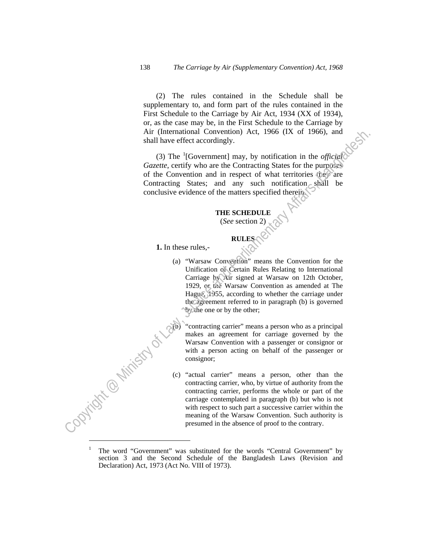(2) The rules contained in the Schedule shall be supplementary to, and form part of the rules contained in the First Schedule to the Carriage by Air Act, 1934 (XX of 1934), or, as the case may be, in the First Schedule to the Carriage by Air (International Convention) Act, 1966 (IX of 1966), and shall have effect accordingly.

(3) The <sup>1</sup>[Government] may, by notification in the *official Gazette*, certify who are the Contracting States for the purposes of the Convention and in respect of what territories they are Contracting States; and any such notification shall be conclusive evidence of the matters specified therein.

## **THE SCHEDULE**

(*See* section 2)

## **RULES**

 **1.** In these rules,-

 (a) "Warsaw Convention" means the Convention for the Unification of Certain Rules Relating to International Carriage by Air signed at Warsaw on 12th October, 1929, or the Warsaw Convention as amended at The Hague, 1955, according to whether the carriage under the agreement referred to in paragraph (b) is governed by the one or by the other; Air (international Convention) Act, 1960 (IX of 1966), and<br>
anal have effect accordingly.<br>
(3) The '[Government] may, by notification in the *afficial*<br>
Gazete, ecrity who are the Contracting States: for the partners<br>
of

"contracting carrier" means a person who as a principal makes an agreement for carriage governed by the Warsaw Convention with a passenger or consignor or with a person acting on behalf of the passenger or consignor;

 (c) "actual carrier" means a person, other than the contracting carrier, who, by virtue of authority from the contracting carrier, performs the whole or part of the carriage contemplated in paragraph (b) but who is not with respect to such part a successive carrier within the meaning of the Warsaw Convention. Such authority is presumed in the absence of proof to the contrary.

 $\overline{a}$ 

<sup>1</sup> The word "Government" was substituted for the words "Central Government" by section 3 and the Second Schedule of the Bangladesh Laws (Revision and Declaration) Act, 1973 (Act No. VIII of 1973).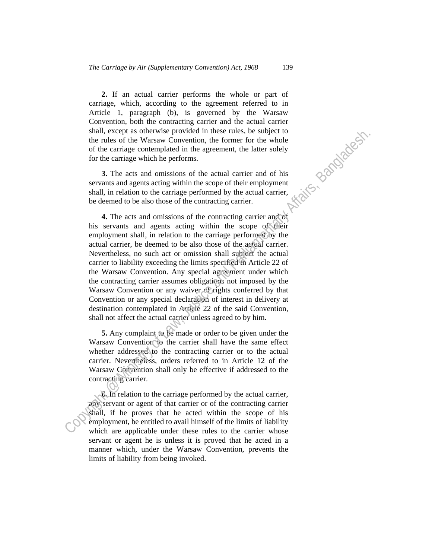**2.** If an actual carrier performs the whole or part of carriage, which, according to the agreement referred to in Article 1, paragraph (b), is governed by the Warsaw Convention, both the contracting carrier and the actual carrier shall, except as otherwise provided in these rules, be subject to the rules of the Warsaw Convention, the former for the whole of the carriage contemplated i shall, except as otherwise provided in these rules, be subject to the rules of the Warsaw Convention, the former for the whole of the carriage contemplated in the agreement, the latter solely for the carriage which he performs.

 **3.** The acts and omissions of the actual carrier and of his servants and agents acting within the scope of their employment shall, in relation to the carriage performed by the actual carrier, be deemed to be also those of the contracting carrier.

 **4.** The acts and omissions of the contracting carrier and of his servants and agents acting within the scope of their employment shall, in relation to the carriage performed by the actual carrier, be deemed to be also those of the actual carrier. Nevertheless, no such act or omission shall subject the actual carrier to liability exceeding the limits specified in Article 22 of the Warsaw Convention. Any special agreement under which the contracting carrier assumes obligations not imposed by the Warsaw Convention or any waiver of rights conferred by that Convention or any special declaration of interest in delivery at destination contemplated in Article 22 of the said Convention, shall not affect the actual carrier unless agreed to by him. shall, secentric assumes provided in these rules, be shalped to the carrier of the carrier of the carrier of the carrier and of the carrier and of the carrier and optical in the agreement, the latter solely for the carrie

 **5.** Any complaint to be made or order to be given under the Warsaw Convention to the carrier shall have the same effect whether addressed to the contracting carrier or to the actual carrier. Nevertheless, orders referred to in Article 12 of the Warsaw Convention shall only be effective if addressed to the contracting carrier.

 **6.** In relation to the carriage performed by the actual carrier, any servant or agent of that carrier or of the contracting carrier shall, if he proves that he acted within the scope of his employment, be entitled to avail himself of the limits of liability which are applicable under these rules to the carrier whose servant or agent he is unless it is proved that he acted in a manner which, under the Warsaw Convention, prevents the limits of liability from being invoked.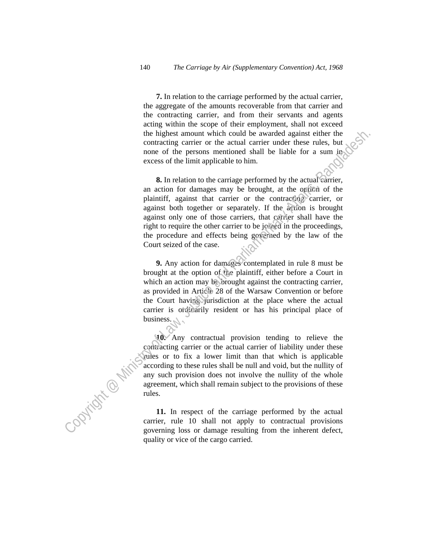**7.** In relation to the carriage performed by the actual carrier, the aggregate of the amounts recoverable from that carrier and the contracting carrier, and from their servants and agents acting within the scope of their employment, shall not exceed the highest amount which could be awarded against either the contracting carrier or the actual carrier under these rules, but none of the persons mentioned shall be liable for a sum in excess of the limit applicable to him.

 **8.** In relation to the carriage performed by the actual carrier, an action for damages may be brought, at the option of the plaintiff, against that carrier or the contracting carrier, or against both together or separately. If the action is brought against only one of those carriers, that carrier shall have the right to require the other carrier to be joined in the proceedings, the procedure and effects being governed by the law of the Court seized of the case. the highest mount which could be awarded against either the<br>contracting carrier or the actual carrier under these rules, but<br>mone of the persons mentioned shall be liable for a sum in-<br>excess of the limit applicable to him

 **9.** Any action for damages contemplated in rule 8 must be brought at the option of the plaintiff, either before a Court in which an action may be brought against the contracting carrier, as provided in Article 28 of the Warsaw Convention or before the Court having jurisdiction at the place where the actual carrier is ordinarily resident or has his principal place of business.

 **10.** Any contractual provision tending to relieve the contracting carrier or the actual carrier of liability under these rules or to fix a lower limit than that which is applicable according to these rules shall be null and void, but the nullity of any such provision does not involve the nullity of the whole agreement, which shall remain subject to the provisions of these rules.

 **11.** In respect of the carriage performed by the actual carrier, rule 10 shall not apply to contractual provisions governing loss or damage resulting from the inherent defect, quality or vice of the cargo carried.

ļ,